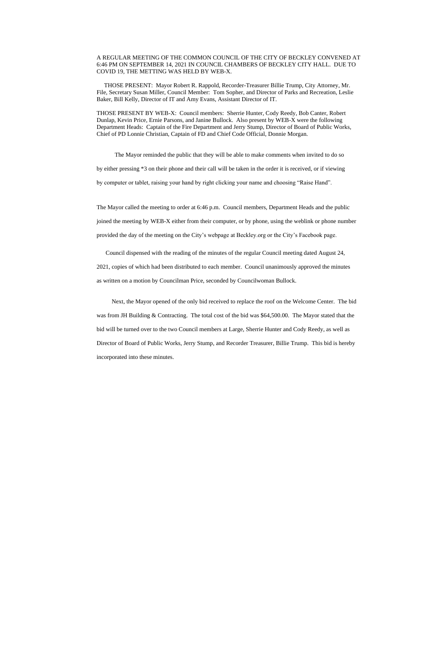A REGULAR MEETING OF THE COMMON COUNCIL OF THE CITY OF BECKLEY CONVENED AT 6:46 PM ON SEPTEMBER 14, 2021 IN COUNCIL CHAMBERS OF BECKLEY CITY HALL. DUE TO COVID 19, THE METTING WAS HELD BY WEB-X.

 THOSE PRESENT: Mayor Robert R. Rappold, Recorder-Treasurer Billie Trump, City Attorney, Mr. File, Secretary Susan Miller, Council Member: Tom Sopher, and Director of Parks and Recreation, Leslie Baker, Bill Kelly, Director of IT and Amy Evans, Assistant Director of IT.

THOSE PRESENT BY WEB-X: Council members: Sherrie Hunter, Cody Reedy, Bob Canter, Robert Dunlap, Kevin Price, Ernie Parsons, and Janine Bullock. Also present by WEB-X were the following Department Heads: Captain of the Fire Department and Jerry Stump, Director of Board of Public Works, Chief of PD Lonnie Christian, Captain of FD and Chief Code Official, Donnie Morgan.

The Mayor reminded the public that they will be able to make comments when invited to do so

by either pressing \*3 on their phone and their call will be taken in the order it is received, or if viewing

by computer or tablet, raising your hand by right clicking your name and choosing "Raise Hand".

The Mayor called the meeting to order at 6:46 p.m. Council members, Department Heads and the public joined the meeting by WEB-X either from their computer, or by phone, using the weblink or phone number provided the day of the meeting on the City's webpage at Beckley.org or the City's Facebook page.

 Council dispensed with the reading of the minutes of the regular Council meeting dated August 24, 2021, copies of which had been distributed to each member. Council unanimously approved the minutes as written on a motion by Councilman Price, seconded by Councilwoman Bullock.

 Next, the Mayor opened of the only bid received to replace the roof on the Welcome Center. The bid was from JH Building & Contracting. The total cost of the bid was \$64,500.00. The Mayor stated that the bid will be turned over to the two Council members at Large, Sherrie Hunter and Cody Reedy, as well as Director of Board of Public Works, Jerry Stump, and Recorder Treasurer, Billie Trump. This bid is hereby incorporated into these minutes.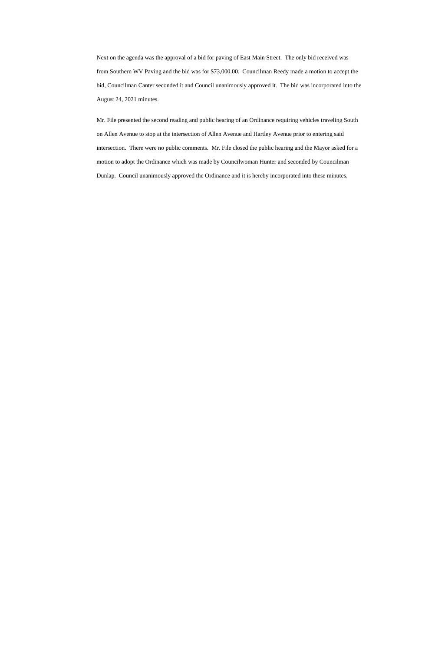Next on the agenda was the approval of a bid for paving of East Main Street. The only bid received was from Southern WV Paving and the bid was for \$73,000.00. Councilman Reedy made a motion to accept the bid, Councilman Canter seconded it and Council unanimously approved it. The bid was incorporated into the August 24, 2021 minutes.

Mr. File presented the second reading and public hearing of an Ordinance requiring vehicles traveling South on Allen Avenue to stop at the intersection of Allen Avenue and Hartley Avenue prior to entering said intersection. There were no public comments. Mr. File closed the public hearing and the Mayor asked for a motion to adopt the Ordinance which was made by Councilwoman Hunter and seconded by Councilman Dunlap. Council unanimously approved the Ordinance and it is hereby incorporated into these minutes.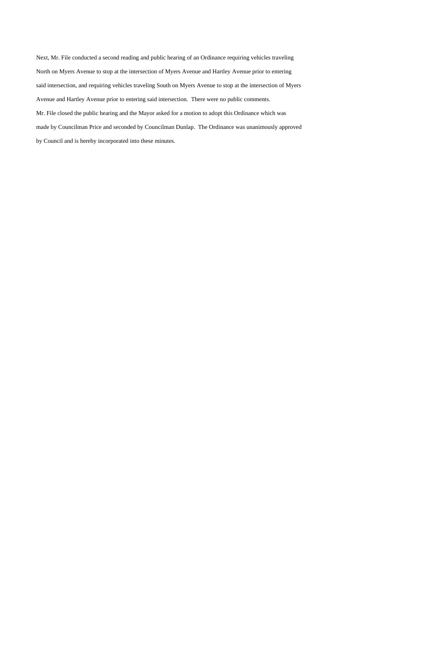Next, Mr. File conducted a second reading and public hearing of an Ordinance requiring vehicles traveling North on Myers Avenue to stop at the intersection of Myers Avenue and Hartley Avenue prior to entering said intersection, and requiring vehicles traveling South on Myers Avenue to stop at the intersection of Myers Avenue and Hartley Avenue prior to entering said intersection. There were no public comments. Mr. File closed the public hearing and the Mayor asked for a motion to adopt this Ordinance which was made by Councilman Price and seconded by Councilman Dunlap. The Ordinance was unanimously approved by Council and is hereby incorporated into these minutes.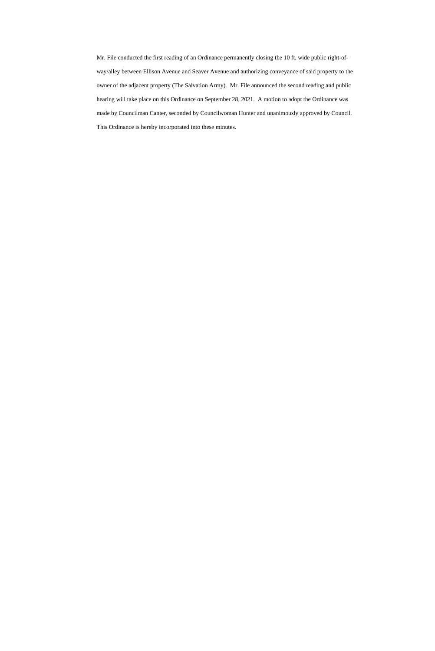Mr. File conducted the first reading of an Ordinance permanently closing the 10 ft. wide public right-ofway/alley between Ellison Avenue and Seaver Avenue and authorizing conveyance of said property to the owner of the adjacent property (The Salvation Army). Mr. File announced the second reading and public hearing will take place on this Ordinance on September 28, 2021. A motion to adopt the Ordinance was made by Councilman Canter, seconded by Councilwoman Hunter and unanimously approved by Council. This Ordinance is hereby incorporated into these minutes.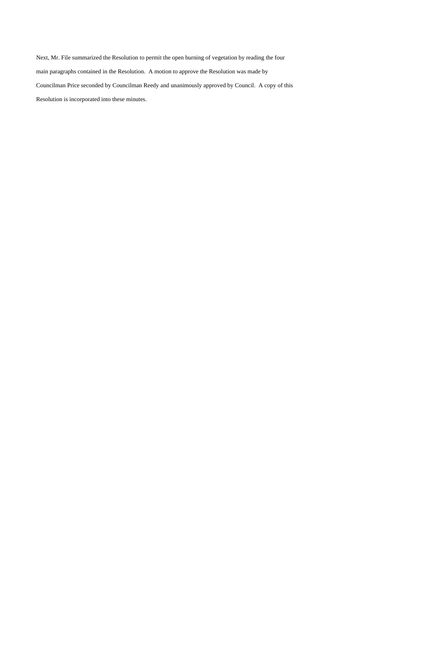Next, Mr. File summarized the Resolution to permit the open burning of vegetation by reading the four main paragraphs contained in the Resolution. A motion to approve the Resolution was made by Councilman Price seconded by Councilman Reedy and unanimously approved by Council. A copy of this Resolution is incorporated into these minutes.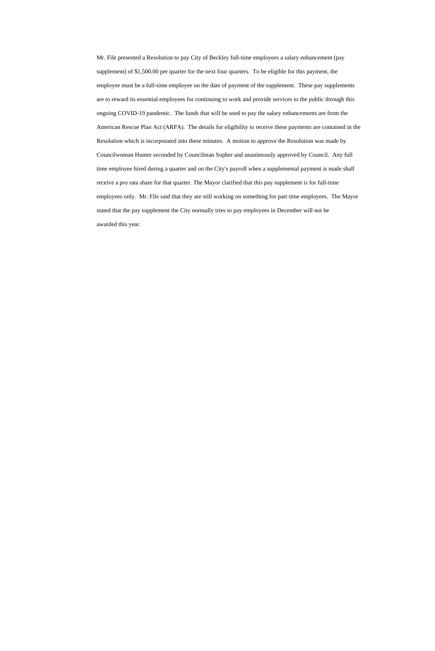Mr. File presented a Resolution to pay City of Beckley full-time employees a salary enhancement (pay supplement) of \$1,500.00 per quarter for the next four quarters. To be eligible for this payment, the employee must be a full-time employee on the date of payment of the supplement. These pay supplements are to reward its essential employees for continuing to work and provide services to the public through this ongoing COVID-19 pandemic. The funds that will be used to pay the salary enhancements are from the American Rescue Plan Act (ARPA). The details for eligibility to receive these payments are contained in the Resolution which is incorporated into these minutes. A motion to approve the Resolution was made by Councilwoman Hunter seconded by Councilman Sopher and unanimously approved by Council. Any full time employee hired during a quarter and on the City's payroll when a supplemental payment is made shall receive a pro rata share for that quarter. The Mayor clarified that this pay supplement is for full-time employees only. Mr. File said that they are still working on something for part time employees. The Mayor stated that the pay supplement the City normally tries to pay employees in December will not be awarded this year.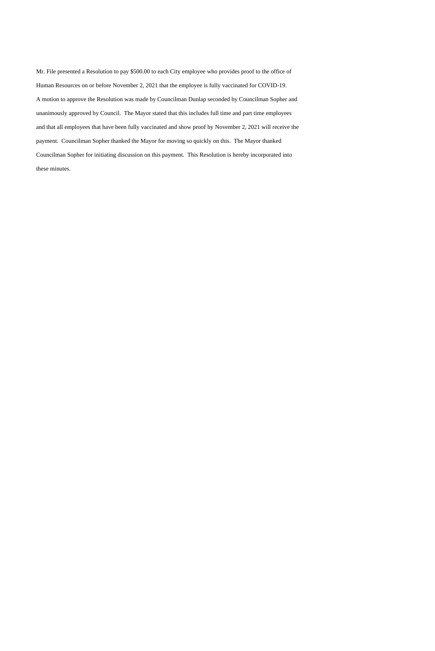Mr. File presented a Resolution to pay \$500.00 to each City employee who provides proof to the office of Human Resources on or before November 2, 2021 that the employee is fully vaccinated for COVID-19. A motion to approve the Resolution was made by Councilman Dunlap seconded by Councilman Sopher and unanimously approved by Council. The Mayor stated that this includes full time and part time employees and that all employees that have been fully vaccinated and show proof by November 2, 2021 will receive the payment. Councilman Sopher thanked the Mayor for moving so quickly on this. The Mayor thanked Councilman Sopher for initiating discussion on this payment. This Resolution is hereby incorporated into these minutes.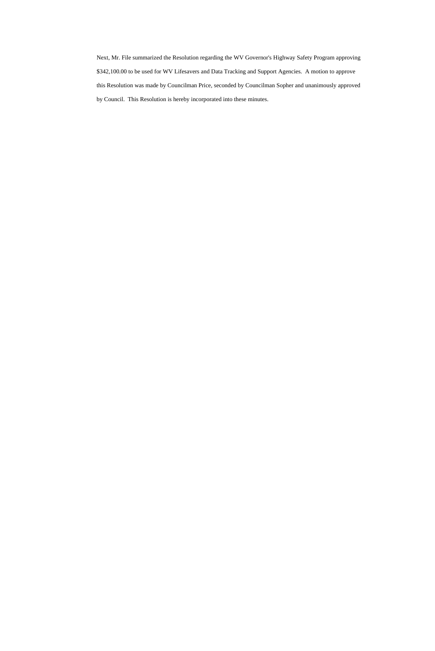Next, Mr. File summarized the Resolution regarding the WV Governor's Highway Safety Program approving \$342,100.00 to be used for WV Lifesavers and Data Tracking and Support Agencies. A motion to approve this Resolution was made by Councilman Price, seconded by Councilman Sopher and unanimously approved by Council. This Resolution is hereby incorporated into these minutes.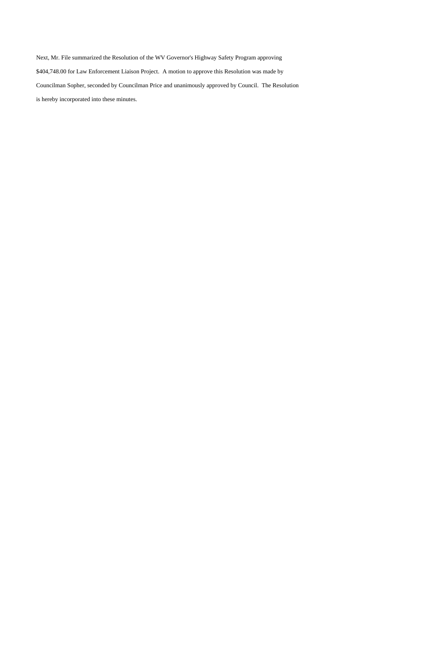Next, Mr. File summarized the Resolution of the WV Governor's Highway Safety Program approving \$404,748.00 for Law Enforcement Liaison Project. A motion to approve this Resolution was made by Councilman Sopher, seconded by Councilman Price and unanimously approved by Council. The Resolution is hereby incorporated into these minutes.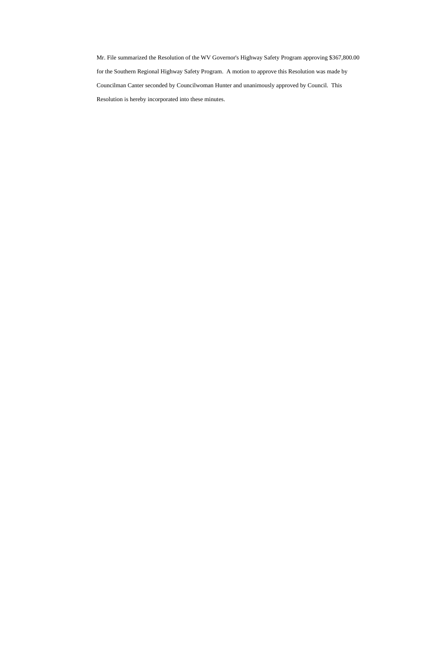Mr. File summarized the Resolution of the WV Governor's Highway Safety Program approving \$367,800.00 for the Southern Regional Highway Safety Program. A motion to approve this Resolution was made by Councilman Canter seconded by Councilwoman Hunter and unanimously approved by Council. This Resolution is hereby incorporated into these minutes.